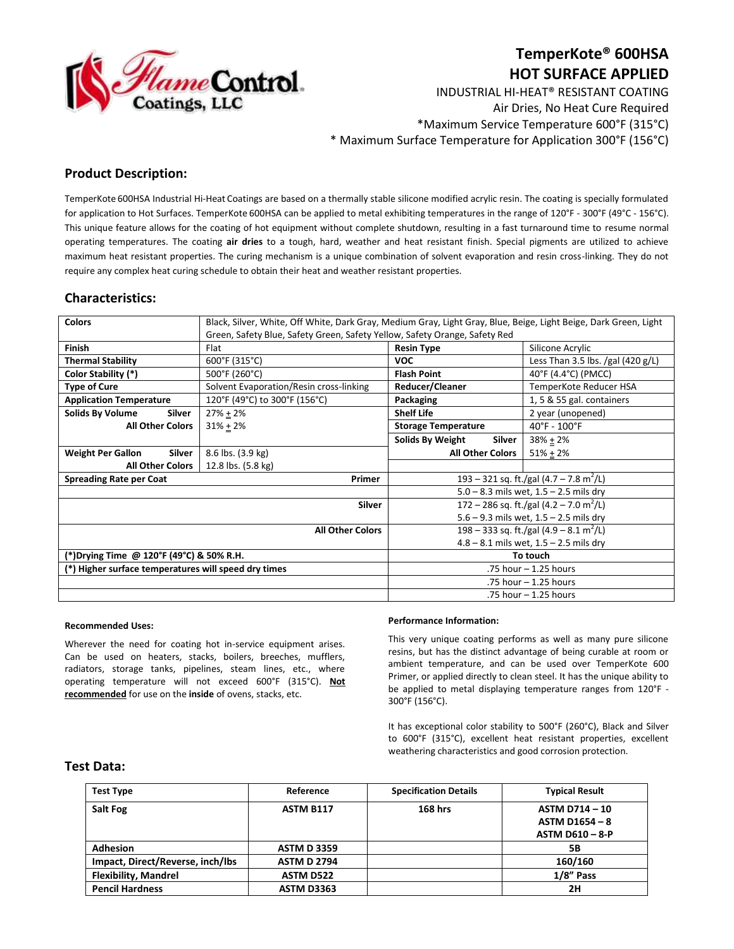

# **TemperKote® 600HSA HOT SURFACE APPLIED**

INDUSTRIAL HI-HEAT® RESISTANT COATING Air Dries, No Heat Cure Required \*Maximum Service Temperature 600°F (315°C) \* Maximum Surface Temperature for Application 300°F (156°C)

## **Product Description:**

TemperKote 600HSA Industrial Hi-Heat Coatings are based on a thermally stable silicone modified acrylic resin. The coating is specially formulated for application to Hot Surfaces. TemperKote 600HSA can be applied to metal exhibiting temperatures in the range of 120°F - 300°F (49°C - 156°C). This unique feature allows for the coating of hot equipment without complete shutdown, resulting in a fast turnaround time to resume normal operating temperatures. The coating **air dries** to a tough, hard, weather and heat resistant finish. Special pigments are utilized to achieve maximum heat resistant properties. The curing mechanism is a unique combination of solvent evaporation and resin cross-linking. They do not require any complex heat curing schedule to obtain their heat and weather resistant properties.

## **Characteristics:**

| <b>Colors</b>                                        | Black, Silver, White, Off White, Dark Gray, Medium Gray, Light Gray, Blue, Beige, Light Beige, Dark Green, Light |                                                     |                                     |
|------------------------------------------------------|------------------------------------------------------------------------------------------------------------------|-----------------------------------------------------|-------------------------------------|
|                                                      | Green, Safety Blue, Safety Green, Safety Yellow, Safety Orange, Safety Red                                       |                                                     |                                     |
| <b>Finish</b>                                        | Flat                                                                                                             | <b>Resin Type</b>                                   | Silicone Acrylic                    |
| <b>Thermal Stability</b>                             | 600°F (315°C)                                                                                                    | <b>VOC</b>                                          | Less Than 3.5 lbs. /gal $(420 g/L)$ |
| Color Stability (*)                                  | 500°F (260°C)                                                                                                    | <b>Flash Point</b>                                  | 40°F (4.4°C) (PMCC)                 |
| <b>Type of Cure</b>                                  | Solvent Evaporation/Resin cross-linking                                                                          | Reducer/Cleaner                                     | TemperKote Reducer HSA              |
| <b>Application Temperature</b>                       | 120°F (49°C) to 300°F (156°C)                                                                                    | Packaging                                           | 1, 5 & 55 gal. containers           |
| <b>Solids By Volume</b><br>Silver                    | $27\% + 2\%$                                                                                                     | <b>Shelf Life</b>                                   | 2 year (unopened)                   |
| <b>All Other Colors</b>                              | $31\% + 2\%$                                                                                                     | <b>Storage Temperature</b>                          | $40^{\circ}$ F - $100^{\circ}$ F    |
|                                                      |                                                                                                                  | Solids By Weight<br>Silver                          | $38% + 2%$                          |
| <b>Weight Per Gallon</b><br>Silver                   | 8.6 lbs. (3.9 kg)                                                                                                | <b>All Other Colors</b>                             | $51\% + 2\%$                        |
| <b>All Other Colors</b>                              | 12.8 lbs. (5.8 kg)                                                                                               |                                                     |                                     |
| Primer<br><b>Spreading Rate per Coat</b>             |                                                                                                                  | 193 – 321 sq. ft./gal (4.7 – 7.8 m <sup>2</sup> /L) |                                     |
|                                                      |                                                                                                                  | $5.0 - 8.3$ mils wet, $1.5 - 2.5$ mils dry          |                                     |
| Silver                                               |                                                                                                                  | 172 – 286 sq. ft./gal (4.2 – 7.0 m <sup>2</sup> /L) |                                     |
|                                                      |                                                                                                                  | $5.6 - 9.3$ mils wet, $1.5 - 2.5$ mils dry          |                                     |
| <b>All Other Colors</b>                              |                                                                                                                  | 198 – 333 sq. ft./gal (4.9 – 8.1 m <sup>2</sup> /L) |                                     |
|                                                      |                                                                                                                  | $4.8 - 8.1$ mils wet, $1.5 - 2.5$ mils dry          |                                     |
| (*)Drying Time @ 120°F (49°C) & 50% R.H.             |                                                                                                                  | To touch                                            |                                     |
| (*) Higher surface temperatures will speed dry times |                                                                                                                  | .75 hour - 1.25 hours                               |                                     |
|                                                      |                                                                                                                  | .75 hour - 1.25 hours                               |                                     |
|                                                      |                                                                                                                  | .75 hour - 1.25 hours                               |                                     |

#### **Recommended Uses:**

Wherever the need for coating hot in-service equipment arises. Can be used on heaters, stacks, boilers, breeches, mufflers, radiators, storage tanks, pipelines, steam lines, etc., where operating temperature will not exceed 600°F (315°C). **Not recommended** for use on the **inside** of ovens, stacks, etc.

#### **Performance Information:**

This very unique coating performs as well as many pure silicone resins, but has the distinct advantage of being curable at room or ambient temperature, and can be used over TemperKote 600 Primer, or applied directly to clean steel. It has the unique ability to be applied to metal displaying temperature ranges from 120°F - 300°F (156°C).

It has exceptional color stability to 500°F (260°C), Black and Silver to 600°F (315°C), excellent heat resistant properties, excellent weathering characteristics and good corrosion protection.

### **Test Data:**

| <b>Test Type</b>                 | Reference          | <b>Specification Details</b> | <b>Typical Result</b>  |
|----------------------------------|--------------------|------------------------------|------------------------|
| <b>Salt Fog</b>                  | <b>ASTM B117</b>   | <b>168 hrs</b>               | <b>ASTM D714-10</b>    |
|                                  |                    |                              | ASTM D1654 - $8$       |
|                                  |                    |                              | <b>ASTM D610 - 8-P</b> |
| <b>Adhesion</b>                  | <b>ASTM D3359</b>  |                              | 5Β                     |
| Impact, Direct/Reverse, inch/lbs | <b>ASTM D 2794</b> |                              | 160/160                |
| <b>Flexibility, Mandrel</b>      | <b>ASTM D522</b>   |                              | 1/8" Pass              |
| <b>Pencil Hardness</b>           | <b>ASTM D3363</b>  |                              | 2H                     |